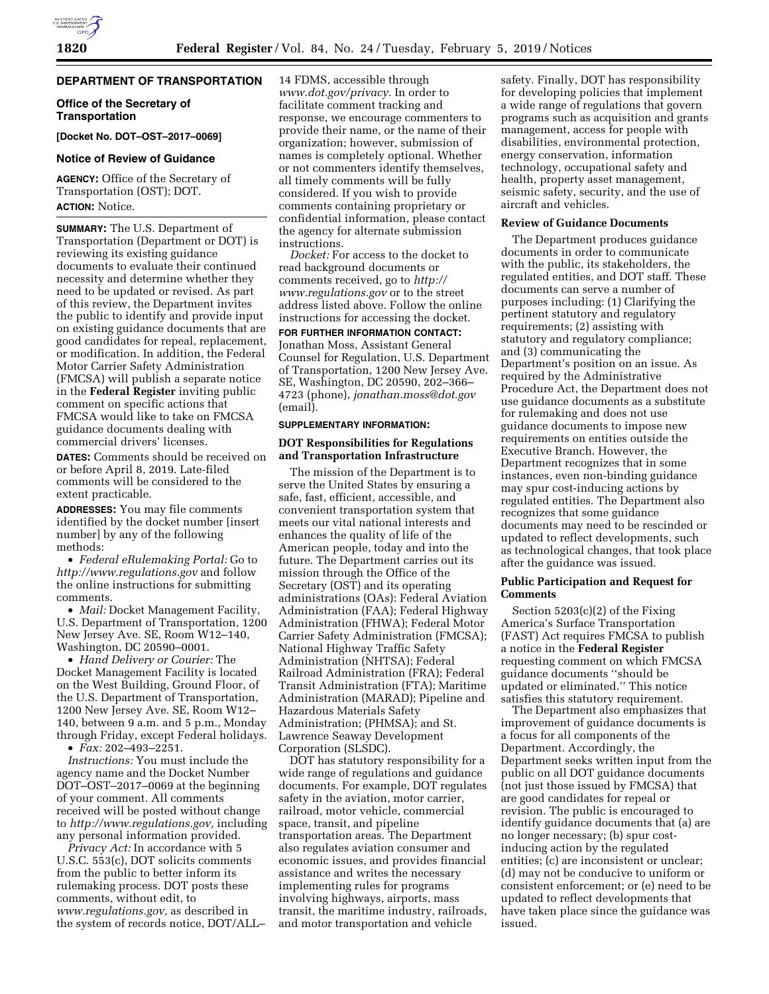# **DEPARTMENT OF TRANSPORTATION**

**Office of the Secretary of Transportation** 

**[Docket No. DOT–OST–2017–0069]** 

# **Notice of Review of Guidance**

**AGENCY:** Office of the Secretary of Transportation (OST); DOT. **ACTION:** Notice.

**SUMMARY:** The U.S. Department of Transportation (Department or DOT) is reviewing its existing guidance documents to evaluate their continued necessity and determine whether they need to be updated or revised. As part of this review, the Department invites the public to identify and provide input on existing guidance documents that are good candidates for repeal, replacement, or modification. In addition, the Federal Motor Carrier Safety Administration (FMCSA) will publish a separate notice in the **Federal Register** inviting public comment on specific actions that FMCSA would like to take on FMCSA guidance documents dealing with commercial drivers' licenses.

**DATES:** Comments should be received on or before April 8, 2019. Late-filed comments will be considered to the extent practicable.

**ADDRESSES:** You may file comments identified by the docket number [insert number] by any of the following methods:

• *Federal eRulemaking Portal:* Go to *<http://www.regulations.gov>* and follow the online instructions for submitting comments.

• *Mail:* Docket Management Facility, U.S. Department of Transportation, 1200 New Jersey Ave. SE, Room W12–140, Washington, DC 20590–0001.

• *Hand Delivery or Courier:* The Docket Management Facility is located on the West Building, Ground Floor, of the U.S. Department of Transportation, 1200 New Jersey Ave. SE, Room W12– 140, between 9 a.m. and 5 p.m., Monday through Friday, except Federal holidays.

• *Fax:* 202–493–2251.

*Instructions:* You must include the agency name and the Docket Number DOT–OST–2017–0069 at the beginning of your comment. All comments received will be posted without change to *[http://www.regulations.gov,](http://www.regulations.gov)* including any personal information provided.

*Privacy Act:* In accordance with 5 U.S.C. 553(c), DOT solicits comments from the public to better inform its rulemaking process. DOT posts these comments, without edit, to *[www.regulations.gov,](http://www.regulations.gov)* as described in the system of records notice, DOT/ALL– 14 FDMS, accessible through *[www.dot.gov/privacy.](http://www.dot.gov/privacy)* In order to facilitate comment tracking and response, we encourage commenters to provide their name, or the name of their organization; however, submission of names is completely optional. Whether or not commenters identify themselves, all timely comments will be fully considered. If you wish to provide comments containing proprietary or confidential information, please contact the agency for alternate submission instructions.

*Docket:* For access to the docket to read background documents or comments received, go to *[http://](http://www.regulations.gov) [www.regulations.gov](http://www.regulations.gov)* or to the street address listed above. Follow the online instructions for accessing the docket. **FOR FURTHER INFORMATION CONTACT:**  Jonathan Moss, Assistant General Counsel for Regulation, U.S. Department of Transportation, 1200 New Jersey Ave. SE, Washington, DC 20590, 202–366– 4723 (phone), *[jonathan.moss@dot.gov](mailto:jonathan.moss@dot.gov)*  (email).

# **SUPPLEMENTARY INFORMATION:**

### **DOT Responsibilities for Regulations and Transportation Infrastructure**

The mission of the Department is to serve the United States by ensuring a safe, fast, efficient, accessible, and convenient transportation system that meets our vital national interests and enhances the quality of life of the American people, today and into the future. The Department carries out its mission through the Office of the Secretary (OST) and its operating administrations (OAs): Federal Aviation Administration (FAA); Federal Highway Administration (FHWA); Federal Motor Carrier Safety Administration (FMCSA); National Highway Traffic Safety Administration (NHTSA); Federal Railroad Administration (FRA); Federal Transit Administration (FTA); Maritime Administration (MARAD); Pipeline and Hazardous Materials Safety Administration; (PHMSA); and St. Lawrence Seaway Development Corporation (SLSDC).

DOT has statutory responsibility for a wide range of regulations and guidance documents. For example, DOT regulates safety in the aviation, motor carrier, railroad, motor vehicle, commercial space, transit, and pipeline transportation areas. The Department also regulates aviation consumer and economic issues, and provides financial assistance and writes the necessary implementing rules for programs involving highways, airports, mass transit, the maritime industry, railroads, and motor transportation and vehicle

safety. Finally, DOT has responsibility for developing policies that implement a wide range of regulations that govern programs such as acquisition and grants management, access for people with disabilities, environmental protection, energy conservation, information technology, occupational safety and health, property asset management, seismic safety, security, and the use of aircraft and vehicles.

## **Review of Guidance Documents**

The Department produces guidance documents in order to communicate with the public, its stakeholders, the regulated entities, and DOT staff. These documents can serve a number of purposes including: (1) Clarifying the pertinent statutory and regulatory requirements; (2) assisting with statutory and regulatory compliance; and (3) communicating the Department's position on an issue. As required by the Administrative Procedure Act, the Department does not use guidance documents as a substitute for rulemaking and does not use guidance documents to impose new requirements on entities outside the Executive Branch. However, the Department recognizes that in some instances, even non-binding guidance may spur cost-inducing actions by regulated entities. The Department also recognizes that some guidance documents may need to be rescinded or updated to reflect developments, such as technological changes, that took place after the guidance was issued.

### **Public Participation and Request for Comments**

Section 5203(c)(2) of the Fixing America's Surface Transportation (FAST) Act requires FMCSA to publish a notice in the **Federal Register**  requesting comment on which FMCSA guidance documents ''should be updated or eliminated.'' This notice satisfies this statutory requirement.

The Department also emphasizes that improvement of guidance documents is a focus for all components of the Department. Accordingly, the Department seeks written input from the public on all DOT guidance documents (not just those issued by FMCSA) that are good candidates for repeal or revision. The public is encouraged to identify guidance documents that (a) are no longer necessary; (b) spur costinducing action by the regulated entities; (c) are inconsistent or unclear; (d) may not be conducive to uniform or consistent enforcement; or (e) need to be updated to reflect developments that have taken place since the guidance was issued.